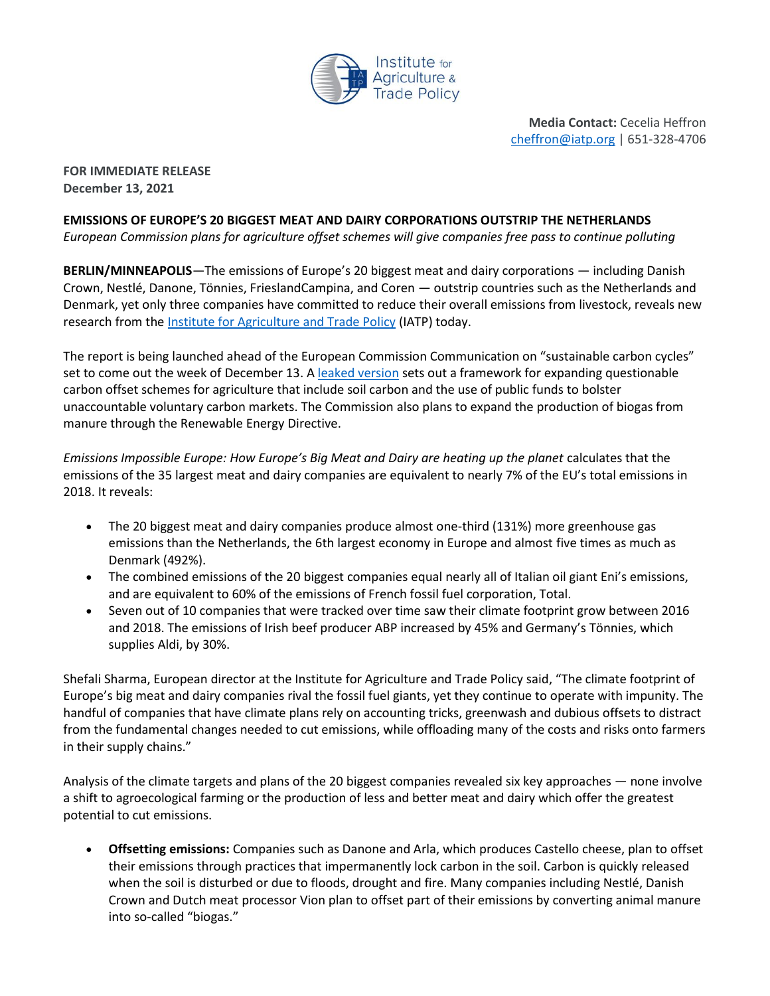

**Media Contact:** Cecelia Heffron [cheffron@iatp.org](mailto:cheffron@iatp.org) | 651-328-4706

**FOR IMMEDIATE RELEASE December 13, 2021**

## **EMISSIONS OF EUROPE'S 20 BIGGEST MEAT AND DAIRY CORPORATIONS OUTSTRIP THE NETHERLANDS**

*European Commission plans for agriculture offset schemes will give companies free pass to continue polluting*

**BERLIN/MINNEAPOLIS**—The emissions of Europe's 20 biggest meat and dairy corporations — including Danish Crown, Nestlé, Danone, Tönnies, FrieslandCampina, and Coren — outstrip countries such as the Netherlands and Denmark, yet only three companies have committed to reduce their overall emissions from livestock, reveals new research from the [Institute for Agriculture and Trade Policy](https://www.iatp.org/) (IATP) today.

The report is being launched ahead of the European Commission Communication on "sustainable carbon cycles" set to come out the week of December 13. [A leaked version](https://iatp.sharepoint.com/:w:/s/ProgramsProjects/EbUdGgY_OTxEodxvvc0fxCsBWHvb0TiB0YltJzv9AKF83g?e=OEoDPI) sets out a framework for expanding questionable carbon offset schemes for agriculture that include soil carbon and the use of public funds to bolster unaccountable voluntary carbon markets. The Commission also plans to expand the production of biogas from manure through the Renewable Energy Directive.

*Emissions Impossible Europe: How Europe's Big Meat and Dairy are heating up the planet* calculates that the emissions of the 35 largest meat and dairy companies are equivalent to nearly 7% of the EU's total emissions in 2018. It reveals:

- The 20 biggest meat and dairy companies produce almost one-third (131%) more greenhouse gas emissions than the Netherlands, the 6th largest economy in Europe and almost five times as much as Denmark (492%).
- The combined emissions of the 20 biggest companies equal nearly all of Italian oil giant Eni's emissions, and are equivalent to 60% of the emissions of French fossil fuel corporation, Total.
- Seven out of 10 companies that were tracked over time saw their climate footprint grow between 2016 and 2018. The emissions of Irish beef producer ABP increased by 45% and Germany's Tönnies, which supplies Aldi, by 30%.

Shefali Sharma, European director at the Institute for Agriculture and Trade Policy said, "The climate footprint of Europe's big meat and dairy companies rival the fossil fuel giants, yet they continue to operate with impunity. The handful of companies that have climate plans rely on accounting tricks, greenwash and dubious offsets to distract from the fundamental changes needed to cut emissions, while offloading many of the costs and risks onto farmers in their supply chains."

Analysis of the climate targets and plans of the 20 biggest companies revealed six key approaches — none involve a shift to agroecological farming or the production of less and better meat and dairy which offer the greatest potential to cut emissions.

• **Offsetting emissions:** Companies such as Danone and Arla, which produces Castello cheese, plan to offset their emissions through practices that impermanently lock carbon in the soil. Carbon is quickly released when the soil is disturbed or due to floods, drought and fire. Many companies including Nestlé, Danish Crown and Dutch meat processor Vion plan to offset part of their emissions by converting animal manure into so-called "biogas."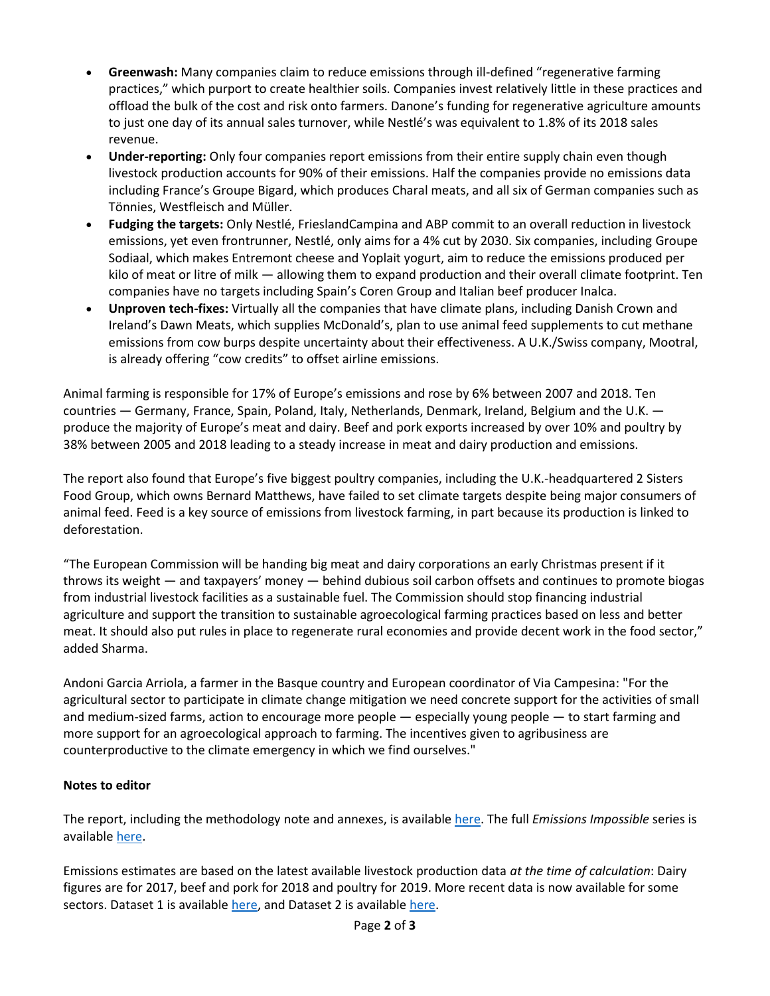- **Greenwash:** Many companies claim to reduce emissions through ill-defined "regenerative farming practices," which purport to create healthier soils. Companies invest relatively little in these practices and offload the bulk of the cost and risk onto farmers. Danone's funding for regenerative agriculture amounts to just one day of its annual sales turnover, while Nestlé's was equivalent to 1.8% of its 2018 sales revenue.
- **Under-reporting:** Only four companies report emissions from their entire supply chain even though livestock production accounts for 90% of their emissions. Half the companies provide no emissions data including France's Groupe Bigard, which produces Charal meats, and all six of German companies such as Tönnies, Westfleisch and Müller.
- **Fudging the targets:** Only Nestlé, FrieslandCampina and ABP commit to an overall reduction in livestock emissions, yet even frontrunner, Nestlé, only aims for a 4% cut by 2030. Six companies, including Groupe Sodiaal, which makes Entremont cheese and Yoplait yogurt, aim to reduce the emissions produced per kilo of meat or litre of milk — allowing them to expand production and their overall climate footprint. Ten companies have no targets including Spain's Coren Group and Italian beef producer Inalca.
- **Unproven tech-fixes:** Virtually all the companies that have climate plans, including Danish Crown and Ireland's Dawn Meats, which supplies McDonald's, plan to use animal feed supplements to cut methane emissions from cow burps despite uncertainty about their effectiveness. A U.K./Swiss company, Mootral, is already offering "cow credits" to offset airline emissions.

Animal farming is responsible for 17% of Europe's emissions and rose by 6% between 2007 and 2018. Ten countries — Germany, France, Spain, Poland, Italy, Netherlands, Denmark, Ireland, Belgium and the U.K. produce the majority of Europe's meat and dairy. Beef and pork exports increased by over 10% and poultry by 38% between 2005 and 2018 leading to a steady increase in meat and dairy production and emissions.

The report also found that Europe's five biggest poultry companies, including the U.K.-headquartered 2 Sisters Food Group, which owns Bernard Matthews, have failed to set climate targets despite being major consumers of animal feed. Feed is a key source of emissions from livestock farming, in part because its production is linked to deforestation.

"The European Commission will be handing big meat and dairy corporations an early Christmas present if it throws its weight — and taxpayers' money — behind dubious soil carbon offsets and continues to promote biogas from industrial livestock facilities as a sustainable fuel. The Commission should stop financing industrial agriculture and support the transition to sustainable agroecological farming practices based on less and better meat. It should also put rules in place to regenerate rural economies and provide decent work in the food sector," added Sharma.

Andoni Garcia Arriola, a farmer in the Basque country and European coordinator of Via Campesina: "For the agricultural sector to participate in climate change mitigation we need concrete support for the activities of small and medium-sized farms, action to encourage more people — especially young people — to start farming and more support for an agroecological approach to farming. The incentives given to agribusiness are counterproductive to the climate emergency in which we find ourselves."

## **Notes to editor**

The report, including the methodology note and annexes, is available [here.](https://www.iatp.org/emissions-impossible-europe) The full *Emissions Impossible* series is available [here.](https://www.iatp.org/emissions-impossible-series)

Emissions estimates are based on the latest available livestock production data *at the time of calculation*: Dairy figures are for 2017, beef and pork for 2018 and poultry for 2019. More recent data is now available for some sectors. Dataset 1 is available [here,](https://bit.ly/3o9bVxP) and Dataset 2 is availabl[e here.](https://bit.ly/3xMb2yn)